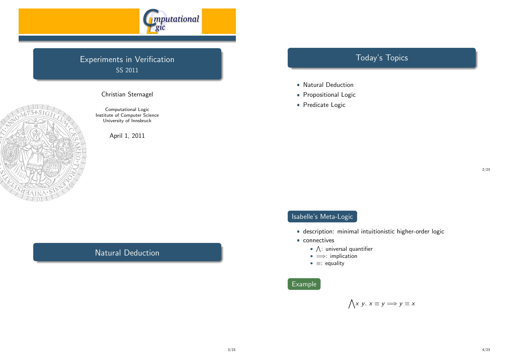

## Experiments in Verification SS 2011



Christian Sternagel

Computational Logic Institute of Computer Science University of Innsbruck

April 1, 2011

### Natural Deduction

## Today's Topics

- Natural Deduction
- Propositional Logic
- Predicate Logic

2/23

#### Isabelle's Meta-Logic

- description: minimal intuitionistic higher-order logic
- connectives
	- $\bullet$   $\wedge$ : universal quantifier
	- $\bullet \implies$ : implication
	- ≡: equality

#### Example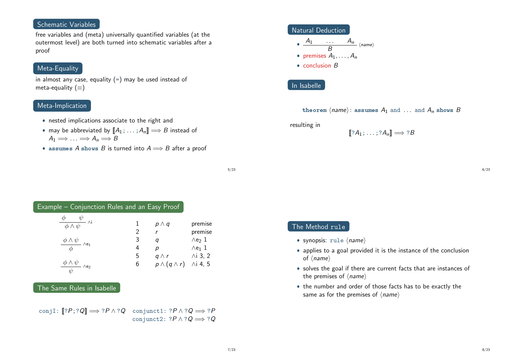#### Schematic Variables

free variables and (meta) universally quantified variables (at the outermost level) are both turned into schematic variables after a proof

#### Meta-Equality

in almost any case, equality  $(=)$  may be used instead of meta-equality  $(≡)$ 

#### Meta-Implication

- nested implications associate to the right and
- may be abbreviated by  $[\![A_1;\ldots;A_n]\!] \Longrightarrow B$  instead of  $A_1 \Longrightarrow \ldots \Longrightarrow A_n \Longrightarrow B$
- assumes  $A$  shows  $B$  is turned into  $A \Longrightarrow B$  after a proof



In Isabelle

theorem  $\langle$ *name* $\rangle$ : assumes  $A_1$  and ... and  $A_n$  shows  $B$ 

resulting in

$$
\llbracket?A_1;\ldots;?A_n\rrbracket \Longrightarrow ?B
$$

5/23

| Example – Conjunction Rules and an Easy Proof           |   |                                                          |                           |
|---------------------------------------------------------|---|----------------------------------------------------------|---------------------------|
| $\frac{\phi \qquad \psi}{\phi \wedge \psi}$ $\wedge$ i  |   | $\begin{array}{ccc} 1 & p \wedge q \\ 2 & r \end{array}$ | premise<br>premise        |
| $\frac{\phi \wedge \psi}{\phi} \wedge e_1$              |   |                                                          | $\wedge$ e <sub>2</sub> 1 |
|                                                         | 4 | p                                                        | $\wedge$ e <sub>1</sub> 1 |
|                                                         | 5 | $q \wedge r$ $\wedge i$ 3, 2                             |                           |
| $\frac{\phi \wedge \psi}{\psi}$ $\wedge$ e <sub>2</sub> | 6 | $p \wedge (q \wedge r)$ $\wedge$ i 4, 5                  |                           |

#### The Same Rules in Isabelle

conjI:  $[[?P;?Q]] \Longrightarrow ?P \wedge ?Q$  conjunct1:  $?P \wedge ?Q \Longrightarrow ?P$ conjunct2:  $?P \wedge ?Q \implies ?Q$ 

#### The Method rule

- $\bullet$  synopsis: rule  $\langle$ name $\rangle$
- applies to a goal provided it is the instance of the conclusion of  $\langle name \rangle$
- solves the goal if there are current facts that are instances of the premises of  $\langle name \rangle$
- the number and order of those facts has to be exactly the same as for the premises of  $\langle name \rangle$

6/23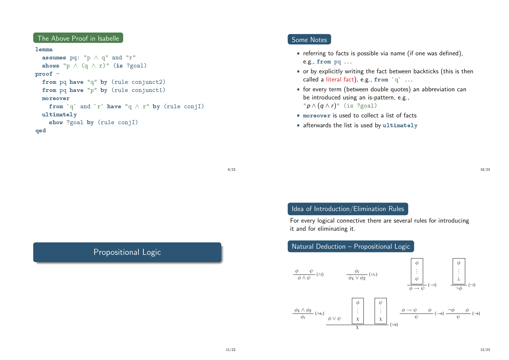#### The Above Proof in Isabelle

#### lemma

```
assumes pq: "p \wedge q" and "r"
  shows "p \wedge (q \wedge r)" (is ?goal)
proof -
  from pq have "q" by (rule conjunct2)
  from pq have "p" by (rule conjunct1)
  moreover
    from `q` and `r` have "q \wedge r" by (rule conjI)
  ultimately
    show ?goal by (rule conjI)
qed
```
#### Some Notes

- referring to facts is possible via name (if one was defined), e.g., from  $pq...$
- or by explicitly writing the fact between backticks (this is then enering to facts is possible via frame (if<br>e.g., from pq ...<br>or by explicitly writing the fact between<br>called a literal fact), e.g., from `q` ...
- for every term (between double quotes) an abbreviation can be introduced using an is-pattern, e.g.,  $"p \wedge (q \wedge r)"$  (is ?goal)
- moreover is used to collect a list of facts
- afterwards the list is used by ultimately

9/23

#### Idea of Introduction/Elimination Rules

For every logical connective there are several rules for introducing it and for eliminating it.

#### Natural Deduction – Propositional Logic



# Propositional Logic

10/23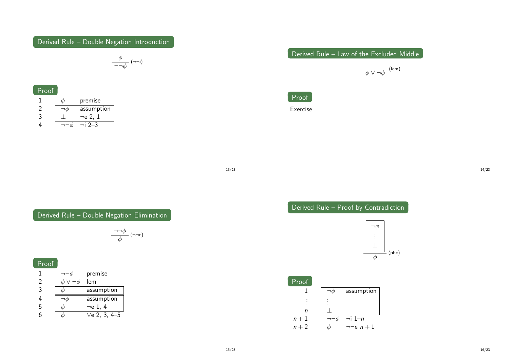#### Derived Rule – Double Negation Introduction

 $\frac{\phi}{\neg\neg\phi}$  (¬¬i)

| Proof |            |
|-------|------------|
|       | premise    |
| 2     | assumption |
| ੨     | ਾe 2, 1    |
|       | ⊣i 2–3     |







## Proof 1  $\neg\neg\phi$  premise<br>
2  $\not\phi \lor \neg \phi$  lem 2  $\phi \vee \neg \phi$  lem

| .3 | assumption         |
|----|--------------------|
|    | assumption         |
| 5  | $\neg$ e 1.4       |
| 'n | $\vee$ e 2. 3. 4–5 |



13/23

# Derived Rule – Proof by Contradiction



| Proof |                    |
|-------|--------------------|
|       | assumption         |
|       |                    |
| n     |                    |
| $n+1$ | ¬i 1– <i>n</i>     |
| $n+2$ | $\neg\neg$ e $n+1$ |

14/23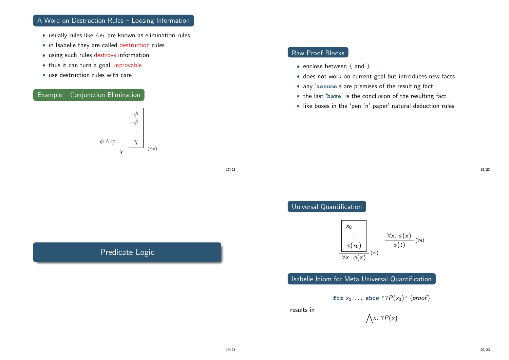#### A Word on Destruction Rules – Loosing Information

- $\bullet$  usually rules like  $\wedge \mathsf{e}_1$  are known as elimination rules
- in Isabelle they are called destruction rules
- **•** using such rules destroys information
- thus it can turn a goal unprovable
- use destruction rules with care

#### Example – Conjunction Elimination



#### Raw Proof Blocks

- $\bullet$  enclose between { and }
- does not work on current goal but introduces new facts
- any 'assume's are premises of the resulting fact
- the last 'have' is the conclusion of the resulting fact
- like boxes in the 'pen 'n' paper' natural deduction rules

17/23

## Predicate Logic

## 18/23



Isabelle Idiom for Meta Universal Quantification

$$
\texttt{fix } x_0 \ \ldots \ \texttt{show} \ \text{``?P}(x_0) \ \text{``} \ \langle \texttt{proof} \rangle
$$

results in

 $\bigwedge x$ . ? $P(x)$